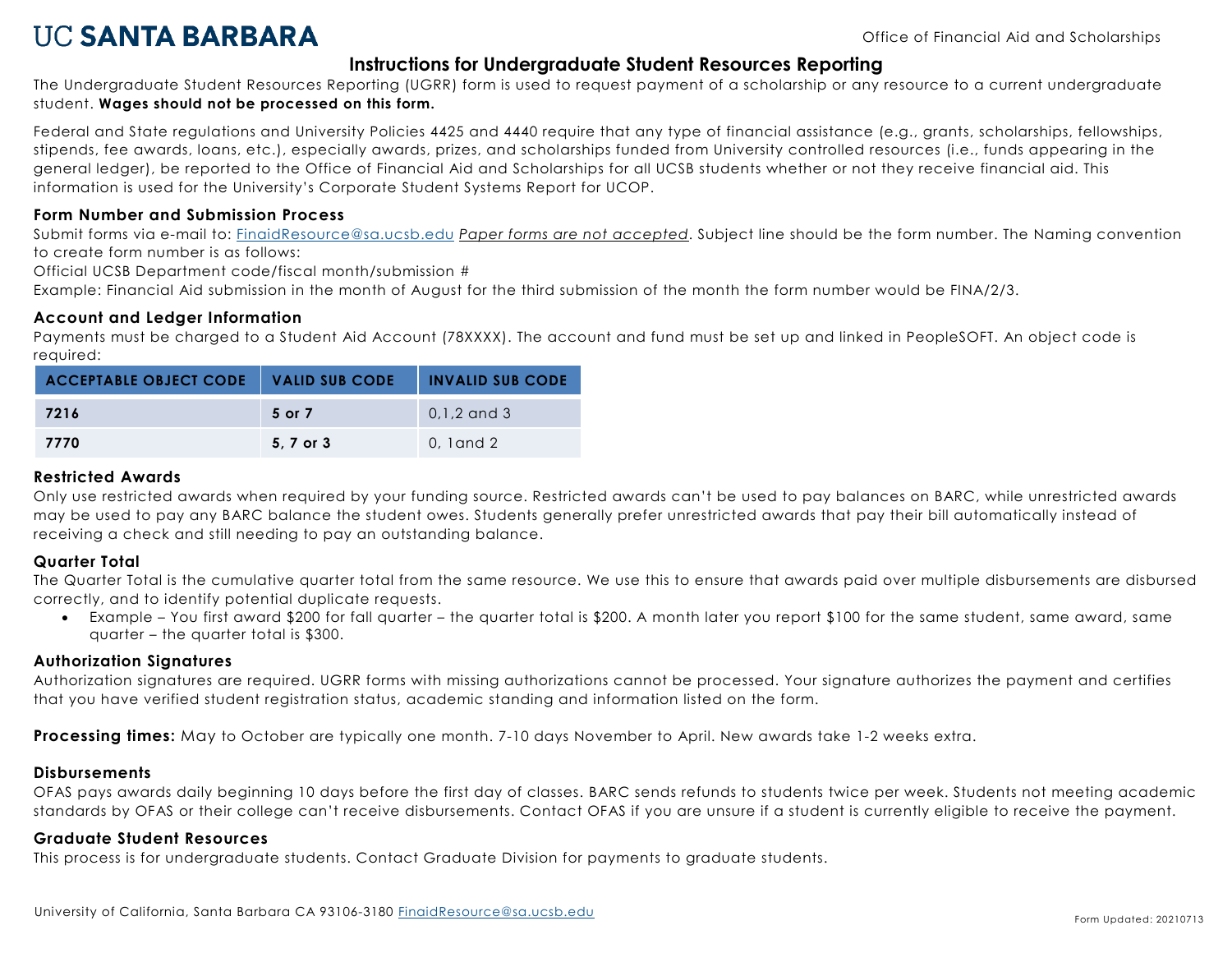# **UC SANTA BARBARA**

# **Instructions for Undergraduate Student Resources Reporting**

The Undergraduate Student Resources Reporting (UGRR) form is used to request payment of a scholarship or any resource to a current undergraduate student. **Wages should not be processed on this form.**

Federal and State regulations and University Policies 4425 and 4440 require that any type of financial assistance (e.g., grants, scholarships, fellowships, stipends, fee awards, loans, etc.), especially awards, prizes, and scholarships funded from University controlled resources (i.e., funds appearing in the general ledger), be reported to the Office of Financial Aid and Scholarships for all UCSB students whether or not they receive financial aid. This information is used for the University's Corporate Student Systems Report for UCOP.

### **Form Number and Submission Process**

Submit forms via e-mail to: [FinaidResource@sa.ucsb.edu](mailto:FinaidResource@sa.ucsb.edu) *Paper forms are not accepted*. Subject line should be the form number. The Naming convention to create form number is as follows:

Official UCSB Department code/fiscal month/submission #

Example: Financial Aid submission in the month of August for the third submission of the month the form number would be FINA/2/3.

## **Account and Ledger Information**

Payments must be charged to a Student Aid Account (78XXXX). The account and fund must be set up and linked in PeopleSOFT. An object code is required:

| ACCEPTABLE OBJECT CODE VALID SUB CODE |           | <b>INVALID SUB CODE</b> |
|---------------------------------------|-----------|-------------------------|
| 7216                                  | 5 or 7    | $0.1.2$ and 3           |
| 7770                                  | 5, 7 or 3 | 0, 1 and 2              |

### **Restricted Awards**

Only use restricted awards when required by your funding source. Restricted awards can't be used to pay balances on BARC, while unrestricted awards may be used to pay any BARC balance the student owes. Students generally prefer unrestricted awards that pay their bill automatically instead of receiving a check and still needing to pay an outstanding balance.

# **Quarter Total**

The Quarter Total is the cumulative quarter total from the same resource. We use this to ensure that awards paid over multiple disbursements are disbursed correctly, and to identify potential duplicate requests.

• Example – You first award \$200 for fall quarter – the quarter total is \$200. A month later you report \$100 for the same student, same award, same quarter – the quarter total is \$300.

#### **Authorization Signatures**

Authorization signatures are required. UGRR forms with missing authorizations cannot be processed. Your signature authorizes the payment and certifies that you have verified student registration status, academic standing and information listed on the form.

**Processing times:** May to October are typically one month. 7-10 days November to April. New awards take 1-2 weeks extra.

#### **Disbursements**

OFAS pays awards daily beginning 10 days before the first day of classes. BARC sends refunds to students twice per week. Students not meeting academic standards by OFAS or their college can't receive disbursements. Contact OFAS if you are unsure if a student is currently eligible to receive the payment.

# **Graduate Student Resources**

This process is for undergraduate students. Contact Graduate Division for payments to graduate students.